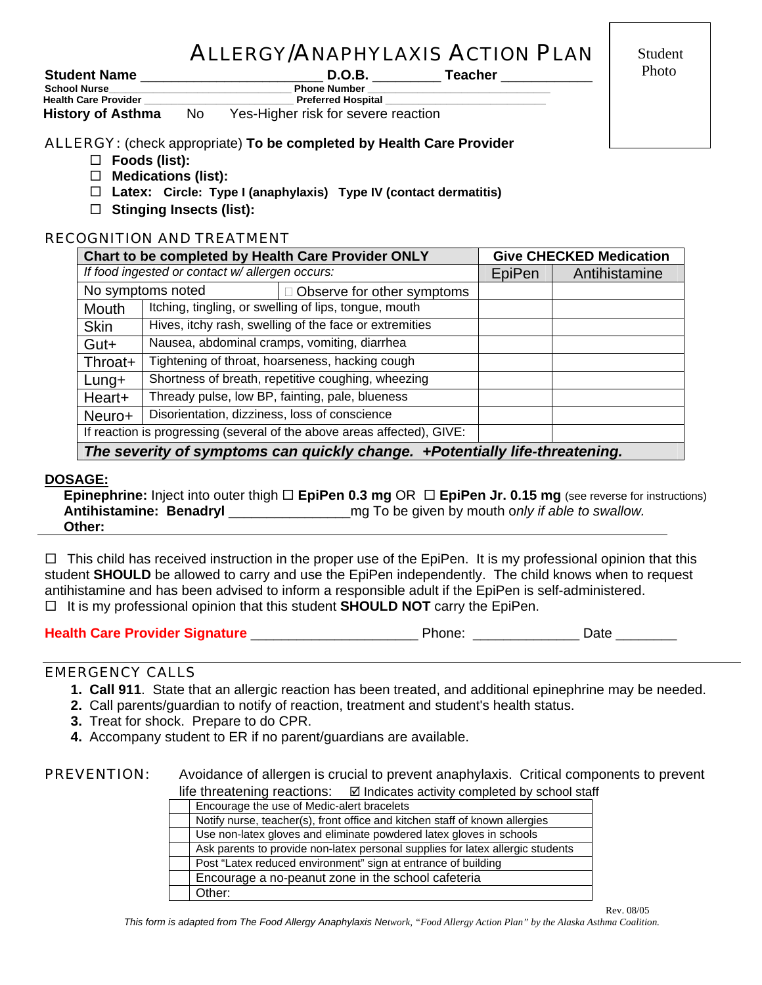# ALLERGY/ANAPHYLAXIS ACTION PLAN

**Student Name** \_\_\_\_\_\_\_\_\_\_\_\_\_\_\_\_\_\_\_\_\_\_\_\_ **D.O.B.** \_\_\_\_\_\_\_\_\_ **Teacher** \_\_\_\_\_\_\_\_\_\_\_\_

 Student **Photo** 

| <b>ULUWUIIL ITUIIIU</b>     |    | ◡.◡.◡.                              | ו טעטוניו |
|-----------------------------|----|-------------------------------------|-----------|
| <b>School Nurse</b>         |    | <b>Phone Number</b>                 |           |
| <b>Health Care Provider</b> |    | <b>Preferred Hospital</b>           |           |
| <b>History of Asthma</b>    | No | Yes-Higher risk for severe reaction |           |

## ALLERGY: (check appropriate) **To be completed by Health Care Provider**

- **Foods (list):**
- **Medications (list):**
- **Latex: Circle: Type I (anaphylaxis) Type IV (contact dermatitis)**
- **Stinging Insects (list):**

## RECOGNITION AND TREATMENT

| Chart to be completed by Health Care Provider ONLY                          |                                                        |                                                    | <b>Give CHECKED Medication</b> |  |  |
|-----------------------------------------------------------------------------|--------------------------------------------------------|----------------------------------------------------|--------------------------------|--|--|
| If food ingested or contact w/ allergen occurs:                             |                                                        | EpiPen                                             | Antihistamine                  |  |  |
| No symptoms noted                                                           |                                                        | $\Box$ Observe for other symptoms                  |                                |  |  |
| Mouth                                                                       | Itching, tingling, or swelling of lips, tongue, mouth  |                                                    |                                |  |  |
| <b>Skin</b>                                                                 | Hives, itchy rash, swelling of the face or extremities |                                                    |                                |  |  |
| Gut+                                                                        | Nausea, abdominal cramps, vomiting, diarrhea           |                                                    |                                |  |  |
| Throat+                                                                     | Tightening of throat, hoarseness, hacking cough        |                                                    |                                |  |  |
| $L$ ung+                                                                    |                                                        | Shortness of breath, repetitive coughing, wheezing |                                |  |  |
| Heart+                                                                      |                                                        | Thready pulse, low BP, fainting, pale, blueness    |                                |  |  |
| Neuro+                                                                      | Disorientation, dizziness, loss of conscience          |                                                    |                                |  |  |
| If reaction is progressing (several of the above areas affected), GIVE:     |                                                        |                                                    |                                |  |  |
| The severity of symptoms can quickly change. +Potentially life-threatening. |                                                        |                                                    |                                |  |  |

## **DOSAGE:**

**Epinephrine:** Inject into outer thigh **□ EpiPen 0.3 mg** OR □ EpiPen Jr. 0.15 mg (see reverse for instructions) **Antihistamine: Benadryl and the state of the state of the given by mouth only** *if able to swallow.* **Other:**

 $\Box$  This child has received instruction in the proper use of the EpiPen. It is my professional opinion that this student **SHOULD** be allowed to carry and use the EpiPen independently. The child knows when to request antihistamine and has been advised to inform a responsible adult if the EpiPen is self-administered.  $\Box$  It is my professional opinion that this student **SHOULD NOT** carry the EpiPen.

## **Health Care Provider Signature** \_\_\_\_\_\_\_\_\_\_\_\_\_\_\_\_\_\_\_\_\_\_ Phone: \_\_\_\_\_\_\_\_\_\_\_\_\_\_ Date \_\_\_\_\_\_\_\_

## EMERGENCY CALLS

- **1. Call 911**. State that an allergic reaction has been treated, and additional epinephrine may be needed.
- **2.** Call parents/guardian to notify of reaction, treatment and student's health status.
- **3.** Treat for shock. Prepare to do CPR.
- **4.** Accompany student to ER if no parent/guardians are available.

## **PREVENTION:** Avoidance of allergen is crucial to prevent anaphylaxis. Critical components to prevent life threatening reactions:  $\boxdot$  Indicates activity completed by school staff

| Encourage the use of Medic-alert bracelets                                     |
|--------------------------------------------------------------------------------|
| Notify nurse, teacher(s), front office and kitchen staff of known allergies    |
| Use non-latex gloves and eliminate powdered latex gloves in schools            |
| Ask parents to provide non-latex personal supplies for latex allergic students |
| Post "Latex reduced environment" sign at entrance of building                  |
| Encourage a no-peanut zone in the school cafeteria                             |
| Other:                                                                         |

Rev. 08/05

*This form is adapted from The Food Allergy Anaphylaxis Network, "Food Allergy Action Plan" by the Alaska Asthma Coalition.*